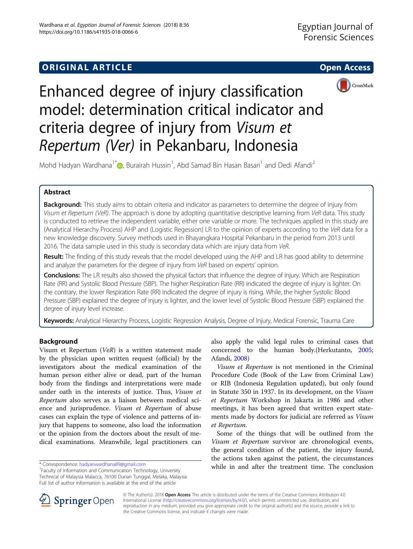# **ORIGINAL ARTICLE CONSUMING A LIGACION** CONSUMING A LIGACION CONSUMING A LIGACION CONSUMING A LIGACION CONSUMING A LIGACION CONSUMING A LIGACION CONSUMING A LIGACION CONSUMING A LIGACION CONSUMING A LIGACION CONSUMING A





Enhanced degree of injury classification model: determination critical indicator and criteria degree of injury from Visum et Repertum (Ver) in Pekanbaru, Indonesia

Mohd Hadyan Wardhana<sup>1\*</sup>�, Burairah Hussin<sup>1</sup>, Abd Samad Bin Hasan Basari<sup>1</sup> and Dedi Afandi<sup>2</sup>

# Abstract

Background: This study aims to obtain criteria and indicator as parameters to determine the degree of injury from Visum et Repertum (VeR). The approach is done by adopting quantitative descriptive learning from VeR data. This study is conducted to retrieve the independent variable, either one variable or more. The techniques applied in this study are (Analytical Hierarchy Process) AHP and (Logistic Regession) LR to the opinion of experts according to the VeR data for a new knowledge discovery. Survey methods used in Bhayangkara Hospital Pekanbaru in the period from 2013 until 2016. The data sample used in this study is secondary data which are injury data from VeR.

Result: The finding of this study reveals that the model developed using the AHP and LR has good ability to determine and analyze the parameters for the degree of injury from VeR based on experts' opinion.

Conclusions: The LR results also showed the physical factors that influence the degree of injury. Which are Respiration Rate (RR) and Systolic Blood Pressure (SBP). The higher Respiration Rate (RR) indicated the degree of injury is lighter. On the contrary, the lower Respiration Rate (RR) indicated the degree of injury is rising. While, the higher Systolic Blood Pressure (SBP) explained the degree of injury is lighter, and the lower level of Systolic Blood Pressure (SBP) explained the degree of injury level increase.

Keywords: Analytical Hierarchy Process, Logistic Regression Analysis, Degree of Injury, Medical Forensic, Trauma Care

# Background

Visum et Repertum (VeR) is a written statement made by the physician upon written request (official) by the investigators about the medical examination of the human person either alive or dead, part of the human body from the findings and interpretations were made under oath in the interests of justice. Thus, Visum et Repertum also serves as a liaison between medical science and jurisprudence. Visum et Repertum of abuse cases can explain the type of violence and patterns of injury that happens to someone, also load the information or the opinion from the doctors about the result of medical examinations. Meanwhile, legal practitioners can

also apply the valid legal rules to criminal cases that concerned to the human body.(Herkutanto, [2005](#page-8-0); Afandi, [2008\)](#page-8-0)

Visum et Repertum is not mentioned in the Criminal Procedure Code (Book of the Law from Criminal Law) or RIB (Indonesia Regulation updated), but only found in Statute 350 in 1937. In its development, on the Visum et Repertum Workshop in Jakarta in 1986 and other meetings, it has been agreed that written expert statements made by doctors for judicial are referred as *Visum* et Repertum.

Some of the things that will be outlined from the Visum et Repertum survivor are chronological events, the general condition of the patient, the injury found, the actions taken against the patient, the circumstances \* Correspondence: [hadyanwardhana89@gmail.com](mailto:hadyanwardhana89@gmail.com) while in and after the treatment time. The conclusion



© The Author(s). 2018 Open Access This article is distributed under the terms of the Creative Commons Attribution 4.0 International License ([http://creativecommons.org/licenses/by/4.0/\)](http://creativecommons.org/licenses/by/4.0/), which permits unrestricted use, distribution, and reproduction in any medium, provided you give appropriate credit to the original author(s) and the source, provide a link to the Creative Commons license, and indicate if changes were made.

<sup>&</sup>lt;sup>1</sup> Faculty of Information and Communication Technology, University Technical of Malaysia Malacca, 76100 Durian Tunggal, Melaka, Malaysia Full list of author information is available at the end of the article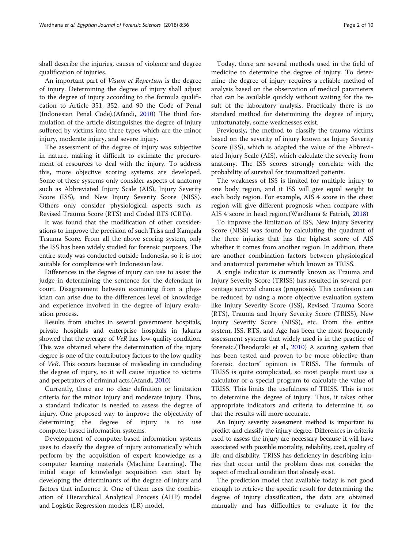shall describe the injuries, causes of violence and degree qualification of injuries.

An important part of Visum et Repertum is the degree of injury. Determining the degree of injury shall adjust to the degree of injury according to the formula qualification to Article 351, 352, and 90 the Code of Penal (Indonesian Penal Code).(Afandi, [2010](#page-8-0)) The third formulation of the article distinguishes the degree of injury suffered by victims into three types which are the minor injury, moderate injury, and severe injury.

The assessment of the degree of injury was subjective in nature, making it difficult to estimate the procurement of resources to deal with the injury. To address this, more objective scoring systems are developed. Some of these systems only consider aspects of anatomy such as Abbreviated Injury Scale (AIS), Injury Severity Score (ISS), and New Injury Severity Score (NISS). Others only consider physiological aspects such as Revised Trauma Score (RTS) and Coded RTS (CRTs).

It was found that the modification of other considerations to improve the precision of such Triss and Kampala Trauma Score. From all the above scoring system, only the ISS has been widely studied for forensic purposes. The entire study was conducted outside Indonesia, so it is not suitable for compliance with Indonesian law.

Differences in the degree of injury can use to assist the judge in determining the sentence for the defendant in court. Disagreement between examining from a physician can arise due to the differences level of knowledge and experience involved in the degree of injury evaluation process.

Results from studies in several government hospitals, private hospitals and enterprise hospitals in Jakarta showed that the average of VeR has low-quality condition. This was obtained where the determination of the injury degree is one of the contributory factors to the low quality of VeR. This occurs because of misleading in concluding the degree of injury, so it will cause injustice to victims and perpetrators of criminal acts.(Afandi, [2010](#page-8-0))

Currently, there are no clear definition or limitation criteria for the minor injury and moderate injury. Thus, a standard indicator is needed to assess the degree of injury. One proposed way to improve the objectivity of determining the degree of injury is to use computer-based information systems.

Development of computer-based information systems uses to classify the degree of injury automatically which perform by the acquisition of expert knowledge as a computer learning materials (Machine Learning). The initial stage of knowledge acquisition can start by developing the determinants of the degree of injury and factors that influence it. One of them uses the combination of Hierarchical Analytical Process (AHP) model and Logistic Regression models (LR) model.

Today, there are several methods used in the field of medicine to determine the degree of injury. To determine the degree of injury requires a reliable method of analysis based on the observation of medical parameters that can be available quickly without waiting for the result of the laboratory analysis. Practically there is no standard method for determining the degree of injury, unfortunately, some weaknesses exist.

Previously, the method to classify the trauma victims based on the severity of injury known as Injury Severity Score (ISS), which is adapted the value of the Abbreviated Injury Scale (AIS), which calculate the severity from anatomy. The ISS scores strongly correlate with the probability of survival for traumatized patients.

The weakness of ISS is limited for multiple injury to one body region, and it ISS will give equal weight to each body region. For example, AIS 4 score in the chest region will give different prognosis when compare with AIS 4 score in head region.(Wardhana & Fatriah, [2018](#page-9-0))

To improve the limitation of ISS, New Injury Severity Score (NISS) was found by calculating the quadrant of the three injuries that has the highest score of AIS whether it comes from another region. In addition, there are another combination factors between physiological and anatomical parameter which known as TRISS.

A single indicator is currently known as Trauma and Injury Severity Score (TRISS) has resulted in several percentage survival chances (prognosis). This confusion can be reduced by using a more objective evaluation system like Injury Severity Score (ISS), Revised Trauma Score (RTS), Trauma and Injury Severity Score (TRISS), New Injury Severity Score (NISS), etc. From the entire system, ISS, RTS, and Age has been the most frequently assessment systems that widely used is in the practice of forensic.(Theodoraki et al., [2010](#page-9-0)) A scoring system that has been tested and proven to be more objective than forensic doctors' opinion is TRISS. The formula of TRISS is quite complicated, so most people must use a calculator or a special program to calculate the value of TRISS. This limits the usefulness of TRISS. This is not to determine the degree of injury. Thus, it takes other appropriate indicators and criteria to determine it, so that the results will more accurate.

An Injury severity assessment method is important to predict and classify the injury degree. Differences in criteria used to assess the injury are necessary because it will have associated with possible mortality, reliability, cost, quality of life, and disability. TRISS has deficiency in describing injuries that occur until the problem does not consider the aspect of medical condition that already exist.

The prediction model that available today is not good enough to retrieve the specific result for determining the degree of injury classification, the data are obtained manually and has difficulties to evaluate it for the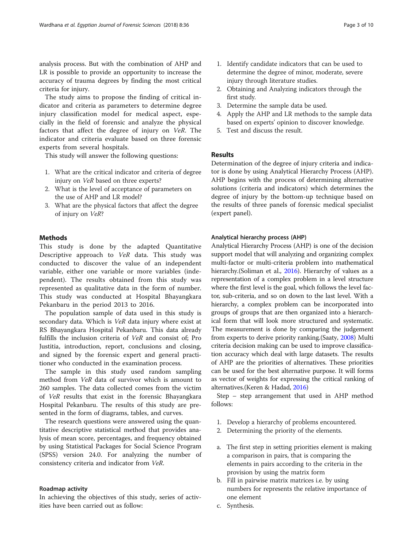analysis process. But with the combination of AHP and LR is possible to provide an opportunity to increase the accuracy of trauma degrees by finding the most critical criteria for injury.

The study aims to propose the finding of critical indicator and criteria as parameters to determine degree injury classification model for medical aspect, especially in the field of forensic and analyze the physical factors that affect the degree of injury on VeR. The indicator and criteria evaluate based on three forensic experts from several hospitals.

This study will answer the following questions:

- 1. What are the critical indicator and criteria of degree injury on VeR based on three experts?
- 2. What is the level of acceptance of parameters on the use of AHP and LR model?
- 3. What are the physical factors that affect the degree of injury on VeR?

# Methods

This study is done by the adapted Quantitative Descriptive approach to VeR data. This study was conducted to discover the value of an independent variable, either one variable or more variables (independent). The results obtained from this study was represented as qualitative data in the form of number. This study was conducted at Hospital Bhayangkara Pekanbaru in the period 2013 to 2016.

The population sample of data used in this study is secondary data. Which is VeR data injury where exist at RS Bhayangkara Hospital Pekanbaru. This data already fulfills the inclusion criteria of VeR and consist of; Pro Justitia, introduction, report, conclusions and closing, and signed by the forensic expert and general practitioner who conducted in the examination process.

The sample in this study used random sampling method from VeR data of survivor which is amount to 260 samples. The data collected comes from the victim of VeR results that exist in the forensic Bhayangkara Hospital Pekanbaru. The results of this study are presented in the form of diagrams, tables, and curves.

The research questions were answered using the quantitative descriptive statistical method that provides analysis of mean score, percentages, and frequency obtained by using Statistical Packages for Social Science Program (SPSS) version 24.0. For analyzing the number of consistency criteria and indicator from VeR.

#### Roadmap activity

In achieving the objectives of this study, series of activities have been carried out as follow:

- 1. Identify candidate indicators that can be used to determine the degree of minor, moderate, severe injury through literature studies.
- 2. Obtaining and Analyzing indicators through the first study.
- 3. Determine the sample data be used.
- 4. Apply the AHP and LR methods to the sample data based on experts' opinion to discover knowledge.
- 5. Test and discuss the result.

# Results

Determination of the degree of injury criteria and indicator is done by using Analytical Hierarchy Process (AHP). AHP begins with the process of determining alternative solutions (criteria and indicators) which determines the degree of injury by the bottom-up technique based on the results of three panels of forensic medical specialist (expert panel).

### Analytical hierarchy process (AHP)

Analytical Hierarchy Process (AHP) is one of the decision support model that will analyzing and organizing complex multi-factor or multi-criteria problem into mathematical hierarchy. (Soliman et al., [2016](#page-9-0)). Hierarchy of values as a representation of a complex problem in a level structure where the first level is the goal, which follows the level factor, sub-criteria, and so on down to the last level. With a hierarchy, a complex problem can be incorporated into groups of groups that are then organized into a hierarchical form that will look more structured and systematic. The measurement is done by comparing the judgement from experts to derive priority ranking.(Saaty, [2008](#page-9-0)) Multi criteria decision making can be used to improve classification accuracy which deal with large datasets. The results of AHP are the priorities of alternatives. These priorities can be used for the best alternative purpose. It will forms as vector of weights for expressing the critical ranking of alternatives.(Keren & Hadad, [2016\)](#page-8-0)

Step – step arrangement that used in AHP method follows:

- 1. Develop a hierarchy of problems encountered.
- 2. Determining the priority of the elements.
- a. The first step in setting priorities element is making a comparison in pairs, that is comparing the elements in pairs according to the criteria in the provision by using the matrix form
- b. Fill in pairwise matrix matrices i.e. by using numbers for represents the relative importance of one element
- c. Synthesis.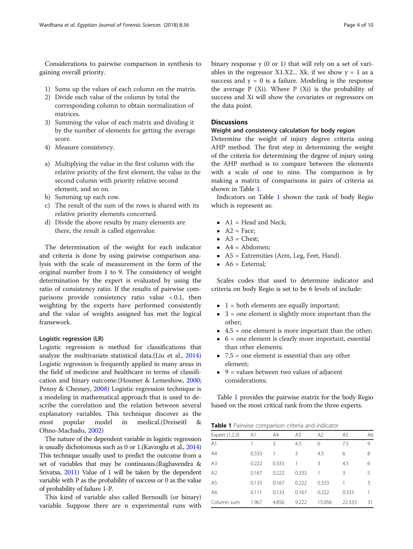<span id="page-3-0"></span>Considerations to pairwise comparison in synthesis to gaining overall priority.

- 1) Sums up the values of each column on the matrix.
- 2) Divide each value of the column by total the corresponding column to obtain normalization of matrices.
- 3) Summing the value of each matrix and dividing it by the number of elements for getting the average score.
- 4) Measure consistency.
- a) Multiplying the value in the first column with the relative priority of the first element, the value in the second column with priority relative second element, and so on.
- b) Summing up each row.
- c) The result of the sum of the rows is shared with its relative priority elements concerned.
- d) Divide the above results by many elements are there, the result is called eigenvalue.

The determination of the weight for each indicator and criteria is done by using pairwise comparison analysis with the scale of measurement in the form of the original number from 1 to 9. The consistency of weight determination by the expert is evaluated by using the ratio of consistency ratio. If the results of pairwise comparisons provide consistency ratio value  $< 0.1$ , then weighting by the experts have performed consistently and the value of weights assigned has met the logical framework.

### Logistic regression (LR)

Logistic regression is method for classifications that analyze the multivariate statistical data.(Liu et al., [2014](#page-9-0)) Logistic regression is frequently applied in many areas in the field of medicine and healthcare in terms of classification and binary outcome.(Hosmer & Lemeshow, [2000](#page-8-0); Penny & Chesney, [2008\)](#page-9-0) Logistic regression technique is a modeling in mathematical approach that is used to describe the correlation and the relation between several explanatory variables. This technique discover as the most popular model in medical.(Dreiseitl & Ohno-Machado, [2002](#page-8-0))

The nature of the dependent variable in logistic regression is usually dichotomous such as 0 or 1.(Kavzoglu et al., [2014](#page-8-0)) This technique usually used to predict the outcome from a set of variables that may be continuous.(Raghavendra & Srivatsa, [2011](#page-9-0)) Value of 1 will be taken by the dependent variable with P as the probability of success or 0 as the value of probability of failure 1-P.

This kind of variable also called Bernoulli (or binary) variable. Suppose there are n experimental runs with binary response y (0 or 1) that will rely on a set of variables in the regressor X1.X2... Xk. if we show  $y = 1$  as a success and  $y = 0$  is a failure. Modeling is the response the average P (Xi). Where P (Xi) is the probability of success and Xi will show the covariates or regressors on the data point.

# **Discussions**

# Weight and consistency calculation for body region

Determine the weight of injury degree criteria using AHP method. The first step in determining the weight of the criteria for determining the degree of injury using the AHP method is to compare between the elements with a scale of one to nine. The comparison is by making a matrix of comparisons in pairs of criteria as shown in Table 1.

Indicators on Table 1 shown the rank of body Regio which is represent as:

- $\bullet$  A1 = Head and Neck;
- $A2 = Face$
- $\triangle$  A3 = Chest:
- $\bullet$  A4 = Abdomen;
- A5 = Extremities (Arm, Leg, Feet, Hand).
- $\bullet$  A6 = External:

Scales codes that used to determine indicator and criteria on body Regio is set to be 6 levels of include:

- $\bullet$  1 = both elements are equally important;
- $\bullet$  3 = one element is slightly more important than the other;
- $\bullet$  4.5 = one element is more important than the other;
- $\bullet$  6 = one element is clearly more important, essential than other elements;
- $\bullet$  7.5 = one element is essential than any other element;
- $\bullet$  9 = values between two values of adjacent considerations;

Table 1 provides the pairwise matrix for the body Regio based on the most critical rank from the three experts.

**Table 1** Pairwise comparison criteria and indicator

| Expert (1,2,3) | A1    | A4    | A <sub>3</sub> | A2     | A <sub>5</sub> | A6 |
|----------------|-------|-------|----------------|--------|----------------|----|
| A1             |       | 3     | 4.5            | 6      | 7.5            | 9  |
| A4             | 0.333 |       | 3              | 4.5    | 6              | 8  |
| A <sub>3</sub> | 0.222 | 0.333 |                | 3      | 4.5            | 6  |
| A2             | 0.167 | 0.222 | 0.333          |        | ξ              | 5  |
| A5             | 0.133 | 0.167 | 0.222          | 0.333  |                | 3  |
| A6             | 0.111 | 0.133 | 0.167          | 0.222  | 0.333          |    |
| Column sum     | 1.967 | 4.856 | 9.222          | 15.056 | 22.333         | 31 |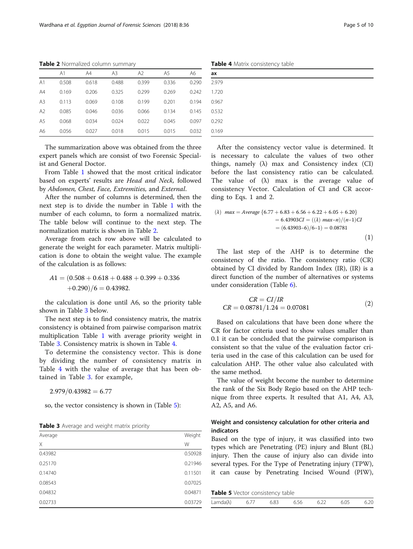Table 2 Normalized column summary

|                | A <sub>1</sub> | A4    | A <sub>3</sub> | A <sub>2</sub> | A <sub>5</sub> | A6    |
|----------------|----------------|-------|----------------|----------------|----------------|-------|
| A <sub>1</sub> | 0.508          | 0.618 | 0.488          | 0.399          | 0.336          | 0.290 |
| A4             | 0.169          | 0.206 | 0.325          | 0.299          | 0.269          | 0.242 |
| A <sub>3</sub> | 0.113          | 0.069 | 0.108          | 0.199          | 0.201          | 0.194 |
| A <sub>2</sub> | 0.085          | 0.046 | 0.036          | 0.066          | 0.134          | 0.145 |
| A5             | 0.068          | 0.034 | 0.024          | 0.022          | 0.045          | 0.097 |
| A6             | 0.056          | 0.027 | 0.018          | 0.015          | 0.015          | 0.032 |

The summarization above was obtained from the three expert panels which are consist of two Forensic Specialist and General Doctor.

From Table [1](#page-3-0) showed that the most critical indicator based on experts' results are Head and Neck, followed by Abdomen, Chest, Face, Extremities, and External.

After the number of columns is determined, then the next step is to divide the number in Table [1](#page-3-0) with the number of each column, to form a normalized matrix. The table below will continue to the next step. The normalization matrix is shown in Table 2.

Average from each row above will be calculated to generate the weight for each parameter. Matrix multiplication is done to obtain the weight value. The example of the calculation is as follows:

$$
A1 = (0.508 + 0.618 + 0.488 + 0.399 + 0.336
$$

$$
+0.290)/6 = 0.43982.
$$

the calculation is done until A6, so the priority table shown in Table 3 below.

The next step is to find consistency matrix, the matrix consistency is obtained from pairwise comparison matrix multiplication Table [1](#page-3-0) with average priority weight in Table 3. Consistency matrix is shown in Table 4.

To determine the consistency vector. This is done by dividing the number of consistency matrix in Table 4 with the value of average that has been obtained in Table 3. for example,

 $2.979/0.43982 = 6.77$ 

so, the vector consistency is shown in (Table 5):

Table 3 Average and weight matrix priority

| Average | Weight  |
|---------|---------|
| X       | W       |
| 0.43982 | 0.50928 |
| 0.25170 | 0.21946 |
| 0.14740 | 0.11501 |
| 0.08543 | 0.07025 |
| 0.04832 | 0.04871 |
| 0.02733 | 0.03729 |

Table 4 Matrix consistency table

|       | ╯ |  |  |
|-------|---|--|--|
| ax    |   |  |  |
| 2.979 |   |  |  |
| 1.720 |   |  |  |
| 0.967 |   |  |  |
| 0.532 |   |  |  |
| 0.292 |   |  |  |
| 0.169 |   |  |  |

After the consistency vector value is determined. It is necessary to calculate the values of two other things, namely (λ) max and Consistency index (CI) before the last consistency ratio can be calculated. The value of  $(\lambda)$  max is the average value of consistency Vector. Calculation of CI and CR according to Eqs. 1 and 2.

$$
max = Average \{6.77 + 6.83 + 6.56 + 6.22 + 6.05 + 6.20\}
$$
  
= 6.43903CI = ((\lambda) max-n)/ (n-1)CI  
= (6.43903-6)/6-1) = 0.08781  
(1)

The last step of the AHP is to determine the consistency of the ratio. The consistency ratio (CR) obtained by CI divided by Random Index (IR), (IR) is a direct function of the number of alternatives or systems under consideration (Table [6](#page-5-0)).

$$
CR = CI/IR
$$
  

$$
CR = 0.08781/1.24 = 0.07081
$$
 (2)

Based on calculations that have been done where the CR for factor criteria used to show values smaller than 0.1 it can be concluded that the pairwise comparison is consistent so that the value of the evaluation factor criteria used in the case of this calculation can be used for calculation AHP. The other value also calculated with the same method.

The value of weight become the number to determine the rank of the Six Body Regio based on the AHP technique from three experts. It resulted that A1, A4, A3, A2, A5, and A6.

# Weight and consistency calculation for other criteria and indicators

Based on the type of injury, it was classified into two types which are Penetrating (PE) injury and Blunt (BL) injury. Then the cause of injury also can divide into several types. For the Type of Penetrating injury (TPW), it can cause by Penetrating Incised Wound (PIW),

Table 5 Vector consistency table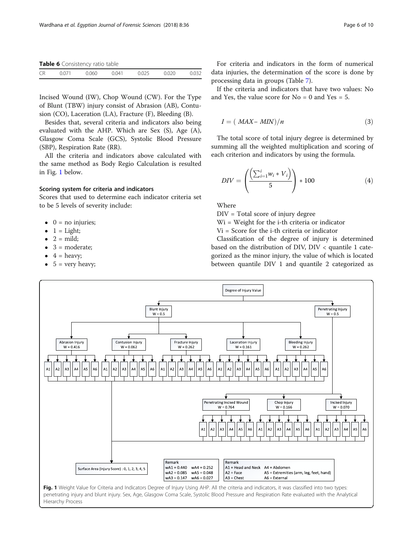<span id="page-5-0"></span>Table 6 Consistency ratio table

|           | $\ldots$ |        |       |  |  |
|-----------|----------|--------|-------|--|--|
| <b>CR</b> |          | ገ በ ናበ | ነ በ41 |  |  |
|           |          |        |       |  |  |

Incised Wound (IW), Chop Wound (CW). For the Type of Blunt (TBW) injury consist of Abrasion (AB), Contusion (CO), Laceration (LA), Fracture (F), Bleeding (B).

Besides that, several criteria and indicators also being evaluated with the AHP. Which are Sex (S), Age (A), Glasgow Coma Scale (GCS), Systolic Blood Pressure (SBP), Respiration Rate (RR).

All the criteria and indicators above calculated with the same method as Body Regio Calculation is resulted in Fig. 1 below.

# Scoring system for criteria and indicators

Scores that used to determine each indicator criteria set to be 5 levels of severity include:

- $\bullet$  0 = no injuries;
- $1 =$  Light;
- $2 = \text{mild}$ ;
- 3 = moderate;
- $\bullet$  4 = heavy;
- $\bullet$  5 = very heavy;

For criteria and indicators in the form of numerical data injuries, the determination of the score is done by processing data in groups (Table [7\)](#page-6-0).

If the criteria and indicators that have two values: No and Yes, the value score for  $No = 0$  and Yes = 5.

$$
I = (MAX - MIN)/n \tag{3}
$$

The total score of total injury degree is determined by summing all the weighted multiplication and scoring of each criterion and indicators by using the formula.

$$
DIV = \left(\frac{\left(\sum_{i=1}^{i} w_i \ast V_i\right)}{5}\right) \ast 100\tag{4}
$$

Where

DIV = Total score of injury degree

Wi = Weight for the i-th criteria or indicator

Vi = Score for the i-th criteria or indicator

Classification of the degree of injury is determined based on the distribution of DIV, DIV < quantile 1 categorized as the minor injury, the value of which is located between quantile DIV 1 and quantile 2 categorized as



penetrating injury and blunt injury. Sex, Age, Glasgow Coma Scale, Systolic Blood Pressure and Respiration Rate evaluated with the Analytical Hierarchy Process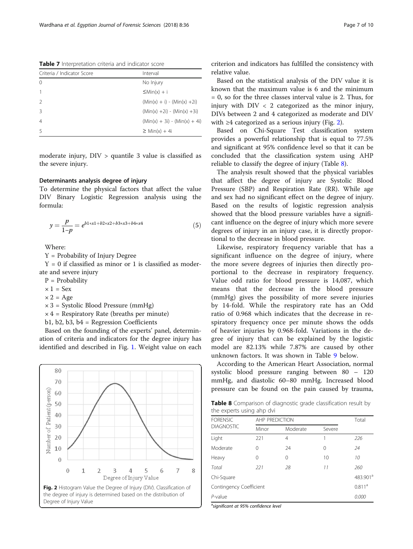<span id="page-6-0"></span>Table 7 Interpretation criteria and indicator score

| Criteria / Indicator Score | Interval                        |
|----------------------------|---------------------------------|
| $\Omega$                   | No Injury                       |
|                            | $\leq$ Min(x) + i               |
|                            | $(Min(x) + i) - (Min(x) + 2i)$  |
| 3                          | $(Min(x) + 2i) - (Min(x) + 3i)$ |
| $\overline{4}$             | $(Min(x) + 3i) - (Min(x) + 4i)$ |
| 5                          | $\geq$ Min(x) + 4i              |

moderate injury, DIV > quantile 3 value is classified as the severe injury.

## Determinants analysis degree of injury

To determine the physical factors that affect the value DIV Binary Logistic Regression analysis using the formula:

$$
y = \frac{p}{1-p} = e^{b1*x1 + b2*x2 + b3*x3 + b4*x4}
$$
 (5)

Where:

Y = Probability of Injury Degree

 $Y = 0$  if classified as minor or 1 is classified as moderate and severe injury

P = Probability

 $\times$  1 = Sex

 $\times 2 = \text{Age}$ 

 $\times$  3 = Systolic Blood Pressure (mmHg)

 $\times$  4 = Respiratory Rate (breaths per minute)

b1, b2, b3, b4 = Regression Coefficients

Based on the founding of the experts' panel, determination of criteria and indicators for the degree injury has identified and described in Fig. [1.](#page-5-0) Weight value on each



criterion and indicators has fulfilled the consistency with relative value.

Based on the statistical analysis of the DIV value it is known that the maximum value is 6 and the minimum  $= 0$ , so for the three classes interval value is 2. Thus, for injury with  $DIV < 2$  categorized as the minor injury, DIVs between 2 and 4 categorized as moderate and DIV with  $\geq 4$  categorized as a serious injury (Fig. 2).

Based on Chi-Square Test classification system provides a powerful relationship that is equal to 77.5% and significant at 95% confidence level so that it can be concluded that the classification system using AHP reliable to classify the degree of injury (Table 8).

The analysis result showed that the physical variables that affect the degree of injury are Systolic Blood Pressure (SBP) and Respiration Rate (RR). While age and sex had no significant effect on the degree of injury. Based on the results of logistic regression analysis showed that the blood pressure variables have a significant influence on the degree of injury which more severe degrees of injury in an injury case, it is directly proportional to the decrease in blood pressure.

Likewise, respiratory frequency variable that has a significant influence on the degree of injury, where the more severe degrees of injuries then directly proportional to the decrease in respiratory frequency. Value odd ratio for blood pressure is 14,087, which means that the decrease in the blood pressure (mmHg) gives the possibility of more severe injuries by 14-fold. While the respiratory rate has an Odd ratio of 0.968 which indicates that the decrease in respiratory frequency once per minute shows the odds of heavier injuries by 0.968-fold. Variations in the degree of injury that can be explained by the logistic model are 82.13% while 7.87% are caused by other unknown factors. It was shown in Table [9](#page-7-0) below.

According to the American Heart Association, normal systolic blood pressure ranging between 80 – 120 mmHg, and diastolic 60–80 mmHg. Increased blood pressure can be found on the pain caused by trauma,

Table 8 Comparison of diagnostic grade classification result by the experts using ahp dvi

| <b>FORENSIC</b>         |       | AHP PREDICTION |        |                      |  |  |
|-------------------------|-------|----------------|--------|----------------------|--|--|
| <b>DIAGNOSTIC</b>       | Minor | Moderate       | Severe |                      |  |  |
| Light                   | 221   | 4              | 1      | 226                  |  |  |
| Moderate                | 0     | 24             | 0      | 24                   |  |  |
| Heavy                   | 0     | $\Omega$       | 10     | 10                   |  |  |
| Total                   | 221   | 28             | 11     | 260                  |  |  |
| Chi-Square              |       |                |        | 483.901 <sup>a</sup> |  |  |
| Contingency Coefficient |       |                |        | 0.811 <sup>a</sup>   |  |  |
| $P$ -value              |       |                |        | 0.000                |  |  |

<sup>a</sup>significant at 95% confidence level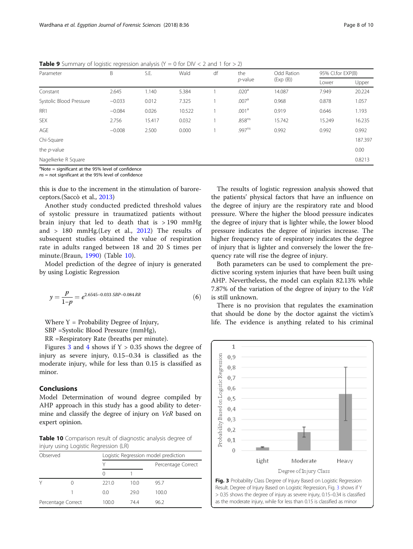| Parameter                                                          | B        | S.E.   | Wald   | df | the                | Odd Ration | 95% Cl.for EXP(B) |         |
|--------------------------------------------------------------------|----------|--------|--------|----|--------------------|------------|-------------------|---------|
|                                                                    |          |        |        |    | $p$ -value         | (Exp(B))   | Lower             | Upper   |
| Constant                                                           | 2.645    | 1.140  | 5.384  |    | .020 <sup>a</sup>  | 14.087     | 7.949             | 20.224  |
| Systolic Blood Pressure                                            | $-0.033$ | 0.012  | 7.325  |    | .007 <sup>a</sup>  | 0.968      | 0.878             | 1.057   |
| RR1                                                                | $-0.084$ | 0.026  | 10.522 |    | .001 <sup>a</sup>  | 0.919      | 0.646             | 1.193   |
| <b>SEX</b>                                                         | 2.756    | 15.417 | 0.032  |    | .858 <sup>ns</sup> | 15.742     | 15.249            | 16.235  |
| AGE                                                                | $-0.008$ | 2.500  | 0.000  |    | .997 <sup>ns</sup> | 0.992      | 0.992             | 0.992   |
| Chi-Square                                                         |          |        |        |    |                    |            |                   | 187.397 |
| the $p$ -value                                                     |          |        |        |    |                    |            |                   | 0.00    |
| Nagelkerke R Square                                                |          |        |        |    |                    |            |                   | 0.8213  |
| $a_{\text{Moto}}$ = cignificant at the $0.5\%$ level of confidence |          |        |        |    |                    |            |                   |         |

<span id="page-7-0"></span>**Table 9** Summary of logistic regression analysis ( $Y = 0$  for DIV < 2 and 1 for > 2)

Note = significant at the 95% level of confidence

ns = not significant at the 95% level of confidence

this is due to the increment in the stimulation of baroreceptors.(Saccò et al., [2013](#page-9-0))

Another study conducted predicted threshold values of systolic pressure in traumatized patients without brain injury that led to death that is  $>190$  mmHg and  $> 180$  mmHg.(Ley et al., [2012](#page-9-0)) The results of subsequent studies obtained the value of respiration rate in adults ranged between 18 and 20 S times per minute.(Braun, [1990](#page-8-0)) (Table 10).

Model prediction of the degree of injury is generated by using Logistic Regression

$$
y = \frac{p}{1-p} = e^{2.6545 - 0.033 \, SBP - 0.084 \, RR} \tag{6}
$$

Where  $Y =$  Probability Degree of Injury,

SBP =Systolic Blood Pressure (mmHg),

RR =Respiratory Rate (breaths per minute).

Figures 3 and [4](#page-8-0) shows if  $Y > 0.35$  shows the degree of injury as severe injury, 0.15–0.34 is classified as the moderate injury, while for less than 0.15 is classified as minor.

## Conclusions

Model Determination of wound degree compiled by AHP approach in this study has a good ability to determine and classify the degree of injury on VeR based on expert opinion.

Table 10 Comparison result of diagnostic analysis degree of injury using Logistic Regression (LR)

| Observed           |  |       | Logistic Regression model prediction |                    |  |  |  |
|--------------------|--|-------|--------------------------------------|--------------------|--|--|--|
|                    |  |       |                                      | Percentage Correct |  |  |  |
|                    |  |       |                                      |                    |  |  |  |
| ٧                  |  | 221.0 | 10.0                                 | 95.7               |  |  |  |
|                    |  | 0.0   | 29.0                                 | 100.0              |  |  |  |
| Percentage Correct |  | 100.0 | 744                                  | 96.2               |  |  |  |

The results of logistic regression analysis showed that the patients' physical factors that have an influence on the degree of injury are the respiratory rate and blood pressure. Where the higher the blood pressure indicates the degree of injury that is lighter while, the lower blood pressure indicates the degree of injuries increase. The higher frequency rate of respiratory indicates the degree of injury that is lighter and conversely the lower the frequency rate will rise the degree of injury.

Both parameters can be used to complement the predictive scoring system injuries that have been built using AHP. Nevertheless, the model can explain 82.13% while 7.87% of the variation of the degree of injury to the VeR is still unknown.

There is no provision that regulates the examination that should be done by the doctor against the victim's life. The evidence is anything related to his criminal

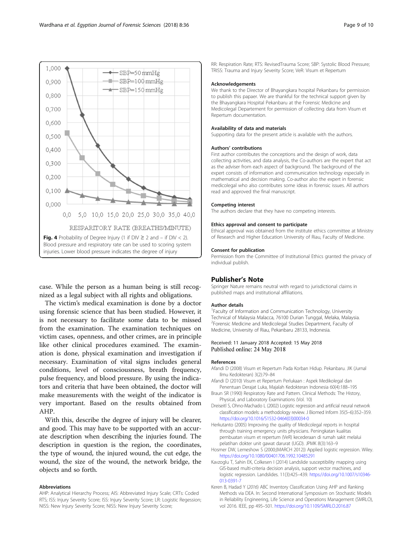<span id="page-8-0"></span>

case. While the person as a human being is still recognized as a legal subject with all rights and obligations.

The victim's medical examination is done by a doctor using forensic science that has been studied. However, it is not necessary to facilitate some data to be missed from the examination. The examination techniques on victim cases, openness, and other crimes, are in principle like other clinical procedures examined. The examination is done, physical examination and investigation if necessary. Examination of vital signs includes general conditions, level of consciousness, breath frequency, pulse frequency, and blood pressure. By using the indicators and criteria that have been obtained, the doctor will make measurements with the weight of the indicator is very important. Based on the results obtained from AHP.

With this, describe the degree of injury will be clearer, and good. This may have to be supported with an accurate description when describing the injuries found. The description in question is the region, the coordinates, the type of wound, the injured wound, the cut edge, the wound, the size of the wound, the network bridge, the objects and so forth.

#### Abbreviations

AHP: Analytical Hierarchy Process; AIS: Abbreviated Injury Scale; CRTs: Coded RTS; ISS: Injury Severity Score; ISS: Injury Severity Score; LR: Logistic Regession; NISS: New Injury Severity Score; NISS: New Injury Severity Score;

RR: Respiration Rate; RTS: RevisedTrauma Score; SBP: Systolic Blood Pressure; TRISS: Trauma and Injury Severity Score; VeR: Visum et Repertum

#### Acknowledgements

We thank to the Director of Bhayangkara hospital Pekanbaru for permission to publish this papaer. We are thankful for the technical support given by the Bhayangkara Hospital Pekanbaru at the Forensic Medicine and Medicolegal Departement for permission of collecting data from Visum et Repertum documentation.

#### Availability of data and materials

Supporting data for the present article is available with the authors.

#### Authors' contributions

First author contributes the conceptions and the design of work, data collecting activities, and data analysis, the Co-authors are the expert that act as the adviser from each aspect of background. The background of the expert consists of information and communication technology especially in mathematical and decision making. Co-author also the expert in forensic medicolegal who also contributes some ideas in forensic issues. All authors read and approved the final manuscript.

#### Competing interest

The authors declare that they have no competing interests.

#### Ethics approval and consent to participate

Ethical approval was obtained from the institute ethics committee at Ministry of Research and Higher Education University of Riau, Faculty of Medicine.

#### Consent for publication

Permission from the Committee of Institutional Ethics granted the privacy of individual publish.

### Publisher's Note

Springer Nature remains neutral with regard to jurisdictional claims in published maps and institutional affiliations.

#### Author details

<sup>1</sup> Faculty of Information and Communication Technology, University Technical of Malaysia Malacca, 76100 Durian Tunggal, Melaka, Malaysia. 2 Forensic Medicine and Medicolegal Studies Department, Faculty of Medicine, University of Riau, Pekanbaru 28133, Indonesia.

#### Received: 11 January 2018 Accepted: 15 May 2018 Published online: 24 May 2018

#### References

Afandi D (2008) Visum et Repertum Pada Korban Hidup. Pekanbaru. JIK (Jurnal Ilmu Kedokteran) 3(2):79–84

- Afandi D (2010) Visum et Repertum Perlukaan : Aspek Medikolegal dan Penentuan Derajat Luka, Majalah Kedokteran Indonesia 60(4):188–195
- Braun SR (1990) Respiratory Rate and Pattern. Clinical Methods: The History, Physical, and Laboratory Examinations (Vol. 10)
- Dreiseitl S, Ohno-Machado L (2002) Logistic regression and artificial neural network classification models: a methodology review. J Biomed Inform 35(5–6):352–359. [https://doi.org/10.1016/S1532-0464\(03\)00034-0](https://doi.org/10.1016/S1532-0464(03)00034-0)
- Herkutanto (2005) Improving the quality of Medicolegal reports in hospital through training emergency units physicians. Peningkatan kualitas pembuatan visum et repertum (VeR) kecederaan di rumah sakit melalui pelatihan dokter unit gawat darurat (UGD). JPMK 8(3):163–9
- Hosmer DW, Lemeshow S (2000;(MARCH 2012)) Applied logistic regression. Wiley. <https://doi.org/10.1080/00401706.1992.10485291>
- Kavzoglu T, Sahin EK, Colkesen I (2014) Landslide susceptibility mapping using GIS-based multi-criteria decision analysis, support vector machines, and logistic regression. Landslides. 11(3):425–439. [https://doi.org/10.1007/s10346-](https://doi.org/10.1007/s10346-013-0391-7) [013-0391-7](https://doi.org/10.1007/s10346-013-0391-7)
- Keren B, Hadad Y (2016) ABC Inventory Classification Using AHP and Ranking Methods via DEA. In: Second International Symposium on Stochastic Models in Reliability Engineering, Life Science and Operations Management (SMRLO), vol 2016. IEEE, pp 495–501. <https://doi.org/10.1109/SMRLO.2016.87>